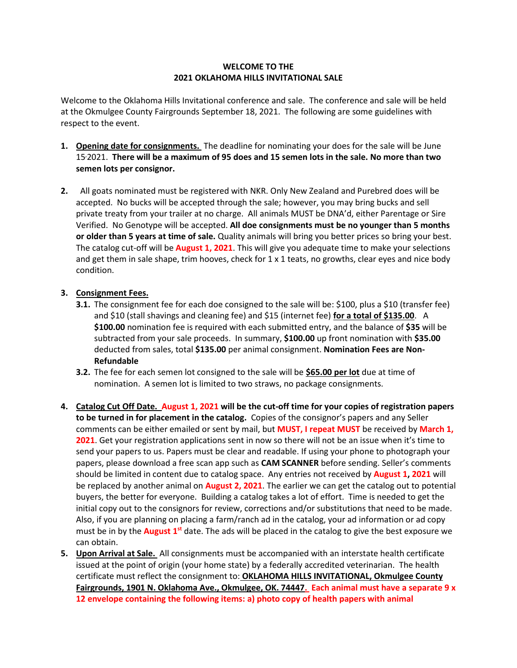## **WELCOME TO THE 2021 OKLAHOMA HILLS INVITATIONAL SALE**

Welcome to the Oklahoma Hills Invitational conference and sale. The conference and sale will be held at the Okmulgee County Fairgrounds September 18, 2021. The following are some guidelines with respect to the event.

- **1. Opening date for consignments.** The deadline for nominating your does for the sale will be June 15,2021. **There will be a maximum of 95 does and 15 semen lots in the sale. No more than two semen lots per consignor.**
- **2.** All goats nominated must be registered with NKR. Only New Zealand and Purebred does will be accepted. No bucks will be accepted through the sale; however, you may bring bucks and sell private treaty from your trailer at no charge. All animals MUST be DNA'd, either Parentage or Sire Verified. No Genotype will be accepted. **All doe consignments must be no younger than 5 months or older than 5 years at time of sale.** Quality animals will bring you better prices so bring your best. The catalog cut-off will be **August 1, 2021**. This will give you adequate time to make your selections and get them in sale shape, trim hooves, check for  $1 \times 1$  teats, no growths, clear eyes and nice body condition.

## **3. Consignment Fees.**

- **3.1.** The consignment fee for each doe consigned to the sale will be: \$100, plus a \$10 (transfer fee) and \$10 (stall shavings and cleaning fee) and \$15 (internet fee) **for a total of \$135.00**. A **\$100.00** nomination fee is required with each submitted entry, and the balance of **\$35** will be subtracted from your sale proceeds. In summary, **\$100.00** up front nomination with **\$35.00** deducted from sales, total **\$135.00** per animal consignment. **Nomination Fees are Non-Refundable**
- **3.2.** The fee for each semen lot consigned to the sale will be **\$65.00 per lot** due at time of nomination. A semen lot is limited to two straws, no package consignments.
- **4. Catalog Cut Off Date. August 1, 2021 will be the cut-off time for your copies of registration papers to be turned in for placement in the catalog.** Copies of the consignor's papers and any Seller comments can be either emailed or sent by mail, but **MUST, I repeat MUST** be received by **March 1, 2021**. Get your registration applications sent in now so there will not be an issue when it's time to send your papers to us. Papers must be clear and readable. If using your phone to photograph your papers, please download a free scan app such as **CAM SCANNER** before sending. Seller's comments should be limited in content due to catalog space. Any entries not received by **August 1, 2021** will be replaced by another animal on **August 2, 2021**. The earlier we can get the catalog out to potential buyers, the better for everyone. Building a catalog takes a lot of effort. Time is needed to get the initial copy out to the consignors for review, corrections and/or substitutions that need to be made. Also, if you are planning on placing a farm/ranch ad in the catalog, your ad information or ad copy must be in by the **August 1**<sup>st</sup> date. The ads will be placed in the catalog to give the best exposure we can obtain.
- **5. Upon Arrival at Sale.** All consignments must be accompanied with an interstate health certificate issued at the point of origin (your home state) by a federally accredited veterinarian. The health certificate must reflect the consignment to: **OKLAHOMA HILLS INVITATIONAL, Okmulgee County Fairgrounds, 1901 N. Oklahoma Ave., Okmulgee, OK. 74447. Each animal must have a separate 9 x 12 envelope containing the following items: a) photo copy of health papers with animal**